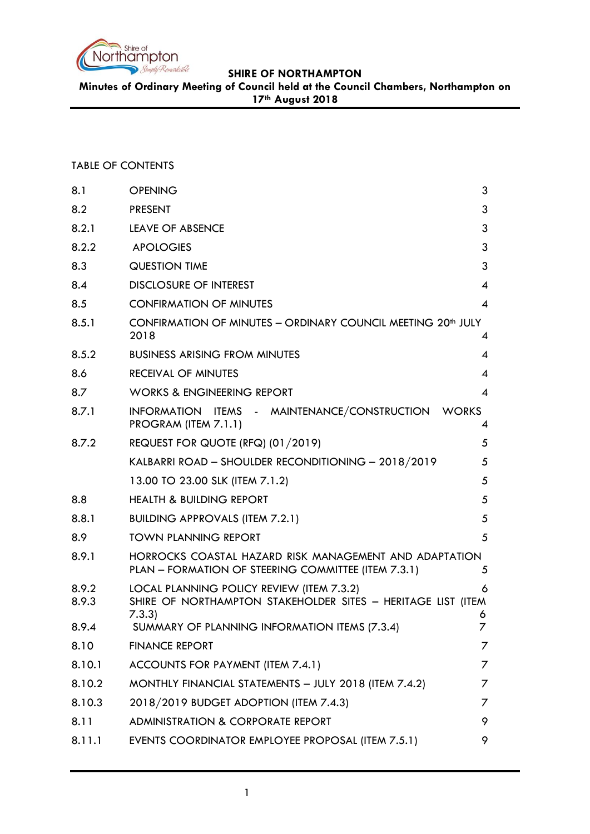

**Minutes of Ordinary Meeting of Council held at the Council Chambers, Northampton on 17th August 2018**

# TABLE OF CONTENTS

| 8.1            | <b>OPENING</b>                                                                                                     | 3                        |
|----------------|--------------------------------------------------------------------------------------------------------------------|--------------------------|
| 8.2            | <b>PRESENT</b>                                                                                                     | 3                        |
| 8.2.1          | <b>LEAVE OF ABSENCE</b>                                                                                            | 3                        |
| 8.2.2          | <b>APOLOGIES</b>                                                                                                   | 3                        |
| 8.3            | <b>QUESTION TIME</b>                                                                                               | 3                        |
| 8.4            | <b>DISCLOSURE OF INTEREST</b>                                                                                      | $\overline{4}$           |
| 8.5            | <b>CONFIRMATION OF MINUTES</b>                                                                                     | 4                        |
| 8.5.1          | CONFIRMATION OF MINUTES - ORDINARY COUNCIL MEETING 20 <sup>th</sup> JULY<br>2018                                   | 4                        |
| 8.5.2          | <b>BUSINESS ARISING FROM MINUTES</b>                                                                               | 4                        |
| 8.6            | <b>RECEIVAL OF MINUTES</b>                                                                                         | 4                        |
| 8.7            | <b>WORKS &amp; ENGINEERING REPORT</b>                                                                              | $\overline{\mathcal{A}}$ |
| 8.7.1          | INFORMATION ITEMS - MAINTENANCE/CONSTRUCTION<br><b>WORKS</b><br>PROGRAM (ITEM 7.1.1)                               | 4                        |
| 8.7.2          | REQUEST FOR QUOTE (RFQ) (01/2019)                                                                                  | 5                        |
|                | KALBARRI ROAD – SHOULDER RECONDITIONING – 2018/2019                                                                | 5                        |
|                | 13.00 TO 23.00 SLK (ITEM 7.1.2)                                                                                    | 5                        |
| 8.8            | <b>HEALTH &amp; BUILDING REPORT</b>                                                                                | 5                        |
| 8.8.1          | <b>BUILDING APPROVALS (ITEM 7.2.1)</b>                                                                             | 5                        |
| 8.9            | <b>TOWN PLANNING REPORT</b>                                                                                        | 5                        |
| 8.9.1          | HORROCKS COASTAL HAZARD RISK MANAGEMENT AND ADAPTATION<br>PLAN - FORMATION OF STEERING COMMITTEE (ITEM 7.3.1)      | 5                        |
| 8.9.2<br>8.9.3 | LOCAL PLANNING POLICY REVIEW (ITEM 7.3.2)<br>SHIRE OF NORTHAMPTON STAKEHOLDER SITES - HERITAGE LIST (ITEM<br>7.3.3 | 6<br>6                   |
| 8.9.4          | SUMMARY OF PLANNING INFORMATION ITEMS (7.3.4)                                                                      | 7                        |
| 8.10           | <b>FINANCE REPORT</b>                                                                                              | 7                        |
| 8.10.1         | ACCOUNTS FOR PAYMENT (ITEM 7.4.1)                                                                                  | 7                        |
| 8.10.2         | MONTHLY FINANCIAL STATEMENTS - JULY 2018 (ITEM 7.4.2)                                                              | 7                        |
| 8.10.3         | 2018/2019 BUDGET ADOPTION (ITEM 7.4.3)                                                                             | 7                        |
| 8.11           | <b>ADMINISTRATION &amp; CORPORATE REPORT</b>                                                                       | 9                        |
| 8.11.1         | EVENTS COORDINATOR EMPLOYEE PROPOSAL (ITEM 7.5.1)                                                                  | 9                        |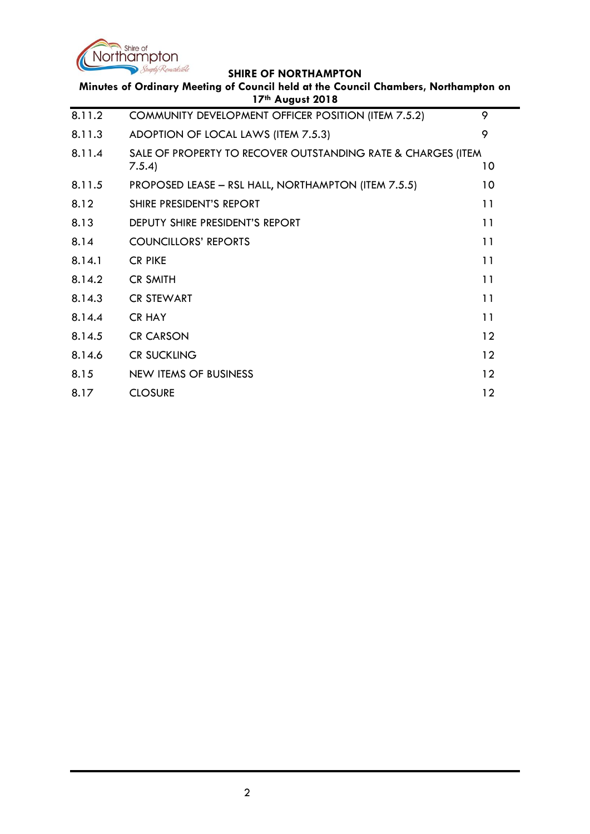

| Minutes of Ordinary Meeting of Council held at the Council Chambers, Northampton on<br>17th August 2018 |                                                                        |    |
|---------------------------------------------------------------------------------------------------------|------------------------------------------------------------------------|----|
| 8.11.2                                                                                                  | COMMUNITY DEVELOPMENT OFFICER POSITION (ITEM 7.5.2)                    | 9  |
| 8.11.3                                                                                                  | ADOPTION OF LOCAL LAWS (ITEM 7.5.3)                                    | 9  |
| 8.11.4                                                                                                  | SALE OF PROPERTY TO RECOVER OUTSTANDING RATE & CHARGES (ITEM<br>7.5.4) | 10 |
| 8.11.5                                                                                                  | PROPOSED LEASE - RSL HALL, NORTHAMPTON (ITEM 7.5.5)                    | 10 |
| 8.12                                                                                                    | SHIRE PRESIDENT'S REPORT                                               | 11 |
| 8.13                                                                                                    | DEPUTY SHIRE PRESIDENT'S REPORT                                        | 11 |
| 8.14                                                                                                    | <b>COUNCILLORS' REPORTS</b>                                            | 11 |
| 8.14.1                                                                                                  | <b>CR PIKE</b>                                                         | 11 |
| 8.14.2                                                                                                  | <b>CR SMITH</b>                                                        | 11 |
| 8.14.3                                                                                                  | <b>CR STEWART</b>                                                      | 11 |
| 8.14.4                                                                                                  | <b>CR HAY</b>                                                          | 11 |
| 8.14.5                                                                                                  | <b>CR CARSON</b>                                                       | 12 |
| 8.14.6                                                                                                  | <b>CR SUCKLING</b>                                                     | 12 |
| 8.15                                                                                                    | <b>NEW ITEMS OF BUSINESS</b>                                           | 12 |
| 8.17                                                                                                    | <b>CLOSURE</b>                                                         | 12 |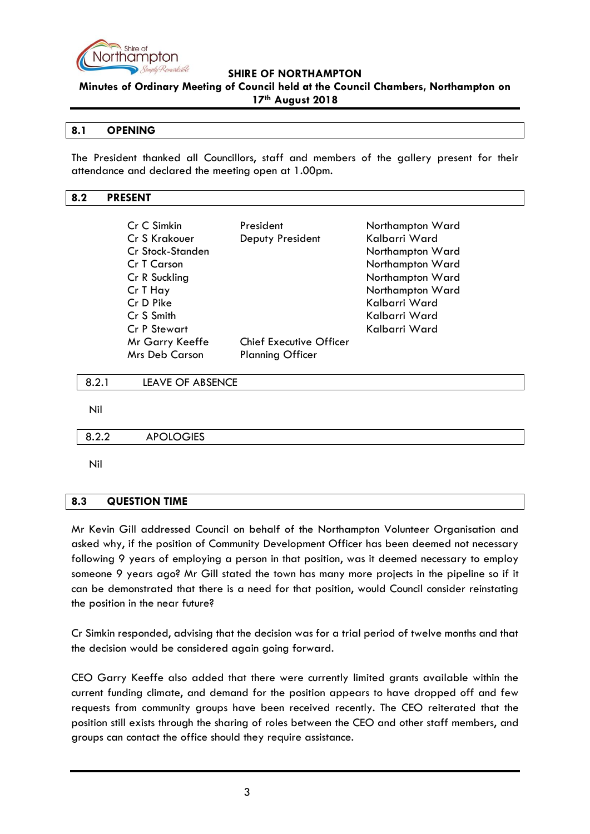

**Minutes of Ordinary Meeting of Council held at the Council Chambers, Northampton on 17th August 2018**

#### <span id="page-2-0"></span>**8.1 OPENING**

The President thanked all Councillors, staff and members of the gallery present for their attendance and declared the meeting open at 1.00pm.

#### <span id="page-2-1"></span>**8.2 PRESENT**

| Cr C Simkin           | President               | Northampton Ward |
|-----------------------|-------------------------|------------------|
| Cr S Krakouer         | Deputy President        | Kalbarri Ward    |
| Cr Stock-Standen      |                         | Northampton Ward |
| Cr T Carson           |                         | Northampton Ward |
| Cr R Suckling         |                         | Northampton Ward |
| Cr T Hay              |                         | Northampton Ward |
| Cr D Pike             |                         | Kalbarri Ward    |
| Cr S Smith            |                         | Kalbarri Ward    |
| <b>Cr P Stewart</b>   |                         | Kalbarri Ward    |
| Mr Garry Keeffe       | Chief Executive Officer |                  |
| <b>Mrs Deb Carson</b> | <b>Planning Officer</b> |                  |

<span id="page-2-2"></span>8.2.1 LEAVE OF ABSENCE

Nil

<span id="page-2-3"></span>8.2.2 APOLOGIES

Nil

# <span id="page-2-4"></span>**8.3 QUESTION TIME**

Mr Kevin Gill addressed Council on behalf of the Northampton Volunteer Organisation and asked why, if the position of Community Development Officer has been deemed not necessary following 9 years of employing a person in that position, was it deemed necessary to employ someone 9 years ago? Mr Gill stated the town has many more projects in the pipeline so if it can be demonstrated that there is a need for that position, would Council consider reinstating the position in the near future?

Cr Simkin responded, advising that the decision was for a trial period of twelve months and that the decision would be considered again going forward.

CEO Garry Keeffe also added that there were currently limited grants available within the current funding climate, and demand for the position appears to have dropped off and few requests from community groups have been received recently. The CEO reiterated that the position still exists through the sharing of roles between the CEO and other staff members, and groups can contact the office should they require assistance.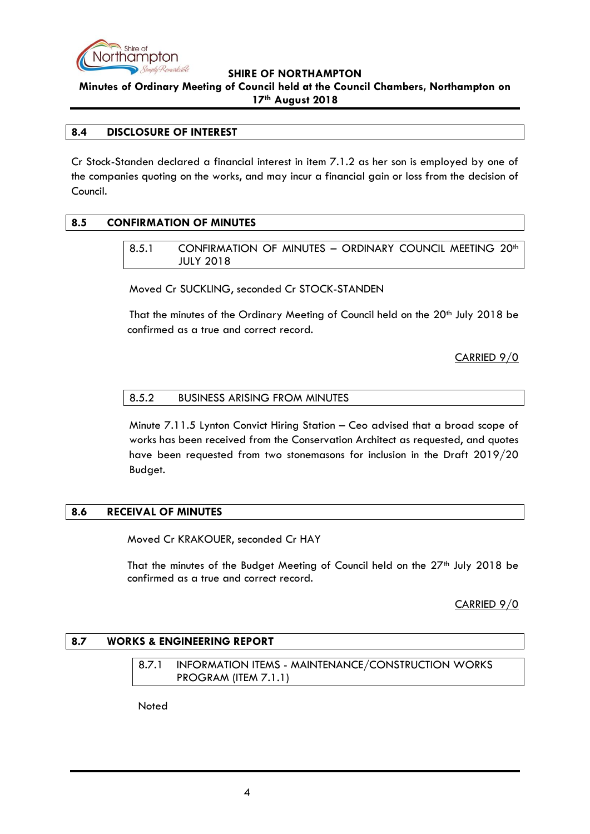

**Minutes of Ordinary Meeting of Council held at the Council Chambers, Northampton on 17th August 2018**

## <span id="page-3-0"></span>**8.4 DISCLOSURE OF INTEREST**

Cr Stock-Standen declared a financial interest in item 7.1.2 as her son is employed by one of the companies quoting on the works, and may incur a financial gain or loss from the decision of Council.

# <span id="page-3-2"></span><span id="page-3-1"></span>**8.5 CONFIRMATION OF MINUTES**

8.5.1 CONFIRMATION OF MINUTES - ORDINARY COUNCIL MEETING 20<sup>th</sup> JULY 2018

Moved Cr SUCKLING, seconded Cr STOCK-STANDEN

That the minutes of the Ordinary Meeting of Council held on the 20<sup>th</sup> July 2018 be confirmed as a true and correct record.

CARRIED 9/0

#### <span id="page-3-3"></span>8.5.2 BUSINESS ARISING FROM MINUTES

Minute 7.11.5 Lynton Convict Hiring Station – Ceo advised that a broad scope of works has been received from the Conservation Architect as requested, and quotes have been requested from two stonemasons for inclusion in the Draft 2019/20 Budget.

# <span id="page-3-4"></span>**8.6 RECEIVAL OF MINUTES**

Moved Cr KRAKOUER, seconded Cr HAY

That the minutes of the Budget Meeting of Council held on the  $27<sup>th</sup>$  July 2018 be confirmed as a true and correct record.

CARRIED 9/0

#### <span id="page-3-6"></span><span id="page-3-5"></span>**8.7 WORKS & ENGINEERING REPORT**

8.7.1 INFORMATION ITEMS - MAINTENANCE/CONSTRUCTION WORKS PROGRAM (ITEM 7.1.1)

**Noted**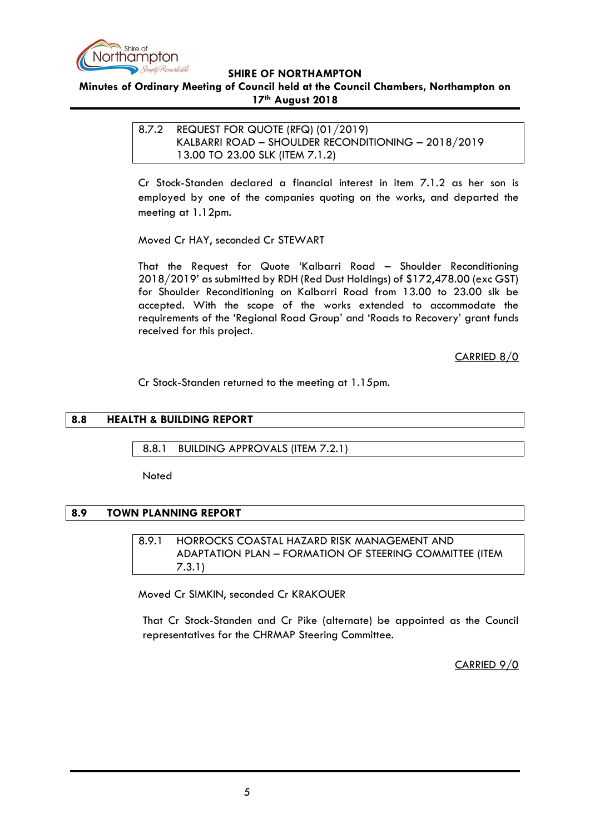

# <span id="page-4-0"></span>**Minutes of Ordinary Meeting of Council held at the Council Chambers, Northampton on 17th August 2018**

<span id="page-4-2"></span><span id="page-4-1"></span>8.7.2 REQUEST FOR QUOTE (RFQ) (01/2019) KALBARRI ROAD – SHOULDER RECONDITIONING – 2018/2019 13.00 TO 23.00 SLK (ITEM 7.1.2)

Cr Stock-Standen declared a financial interest in item 7.1.2 as her son is employed by one of the companies quoting on the works, and departed the meeting at 1.12pm.

Moved Cr HAY, seconded Cr STEWART

That the Request for Quote 'Kalbarri Road – Shoulder Reconditioning 2018/2019' as submitted by RDH (Red Dust Holdings) of \$172,478.00 (exc GST) for Shoulder Reconditioning on Kalbarri Road from 13.00 to 23.00 slk be accepted. With the scope of the works extended to accommodate the requirements of the 'Regional Road Group' and 'Roads to Recovery' grant funds received for this project.

CARRIED 8/0

Cr Stock-Standen returned to the meeting at 1.15pm.

## <span id="page-4-3"></span>**8.8 HEALTH & BUILDING REPORT**

<span id="page-4-4"></span>8.8.1 BUILDING APPROVALS (ITEM 7.2.1)

**Noted** 

#### <span id="page-4-6"></span><span id="page-4-5"></span>**8.9 TOWN PLANNING REPORT**

8.9.1 HORROCKS COASTAL HAZARD RISK MANAGEMENT AND ADAPTATION PLAN – FORMATION OF STEERING COMMITTEE (ITEM 7.3.1)

Moved Cr SIMKIN, seconded Cr KRAKOUER

That Cr Stock-Standen and Cr Pike (alternate) be appointed as the Council representatives for the CHRMAP Steering Committee.

CARRIED 9/0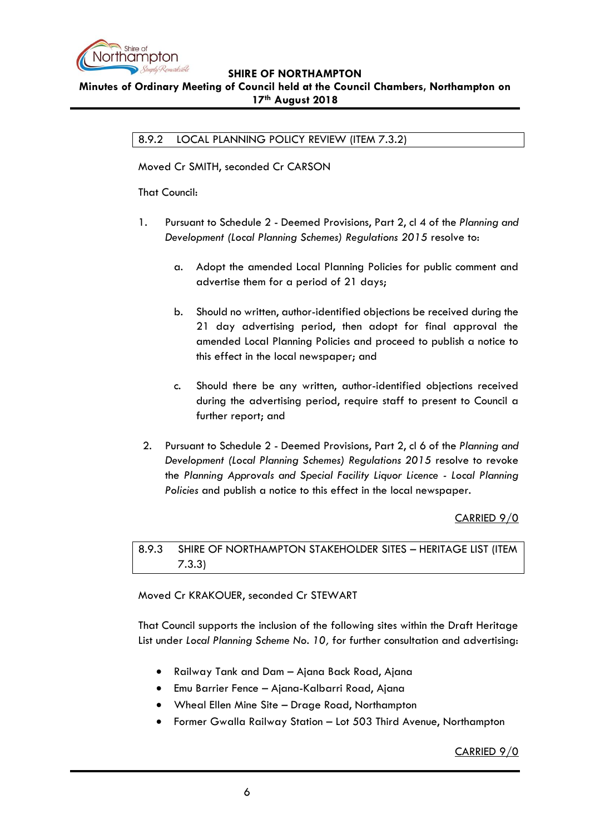

# <span id="page-5-0"></span>**Minutes of Ordinary Meeting of Council held at the Council Chambers, Northampton on 17th August 2018**

8.9.2 LOCAL PLANNING POLICY REVIEW (ITEM 7.3.2)

Moved Cr SMITH, seconded Cr CARSON

That Council:

- 1. Pursuant to Schedule 2 Deemed Provisions, Part 2, cl 4 of the *Planning and Development (Local Planning Schemes) Regulations 2015* resolve to:
	- a. Adopt the amended Local Planning Policies for public comment and advertise them for a period of 21 days;
	- b. Should no written, author-identified objections be received during the 21 day advertising period, then adopt for final approval the amended Local Planning Policies and proceed to publish a notice to this effect in the local newspaper; and
	- c. Should there be any written, author-identified objections received during the advertising period, require staff to present to Council a further report; and
- 2. Pursuant to Schedule 2 Deemed Provisions, Part 2, cl 6 of the *Planning and Development (Local Planning Schemes) Regulations 2015* resolve to revoke the *Planning Approvals and Special Facility Liquor Licence - Local Planning Policies* and publish a notice to this effect in the local newspaper.

# CARRIED 9/0

<span id="page-5-1"></span>8.9.3 SHIRE OF NORTHAMPTON STAKEHOLDER SITES – HERITAGE LIST (ITEM 7.3.3)

Moved Cr KRAKOUER, seconded Cr STEWART

That Council supports the inclusion of the following sites within the Draft Heritage List under *Local Planning Scheme No. 10,* for further consultation and advertising:

- Railway Tank and Dam Ajana Back Road, Ajana
- Emu Barrier Fence Ajana-Kalbarri Road, Ajana
- Wheal Ellen Mine Site Drage Road, Northampton
- Former Gwalla Railway Station Lot 503 Third Avenue, Northampton

# CARRIED 9/0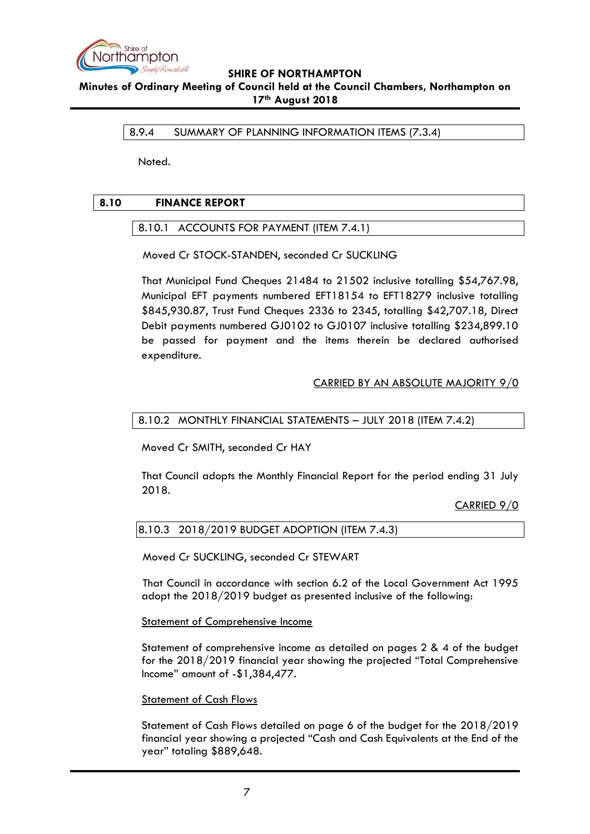

<span id="page-6-0"></span>**Minutes of Ordinary Meeting of Council held at the Council Chambers, Northampton on 17th August 2018**

8.9.4 SUMMARY OF PLANNING INFORMATION ITEMS (7.3.4)

Noted.

# <span id="page-6-2"></span><span id="page-6-1"></span>**8.10 FINANCE REPORT**

# 8.10.1 ACCOUNTS FOR PAYMENT (ITEM 7.4.1)

Moved Cr STOCK-STANDEN, seconded Cr SUCKLING

That Municipal Fund Cheques 21484 to 21502 inclusive totalling \$54,767.98, Municipal EFT payments numbered EFT18154 to EFT18279 inclusive totalling \$845,930.87, Trust Fund Cheques 2336 to 2345, totalling \$42,707.18, Direct Debit payments numbered GJ0102 to GJ0107 inclusive totalling \$234,899.10 be passed for payment and the items therein be declared authorised expenditure.

# CARRIED BY AN ABSOLUTE MAJORITY 9/0

## <span id="page-6-3"></span>8.10.2 MONTHLY FINANCIAL STATEMENTS – JULY 2018 (ITEM 7.4.2)

Moved Cr SMITH, seconded Cr HAY

That Council adopts the Monthly Financial Report for the period ending 31 July 2018.

CARRIED 9/0

# <span id="page-6-4"></span>8.10.3 2018/2019 BUDGET ADOPTION (ITEM 7.4.3)

Moved Cr SUCKLING, seconded Cr STEWART

That Council in accordance with section 6.2 of the Local Government Act 1995 adopt the 2018/2019 budget as presented inclusive of the following:

Statement of Comprehensive Income

Statement of comprehensive income as detailed on pages 2 & 4 of the budget for the 2018/2019 financial year showing the projected "Total Comprehensive Income" amount of -\$1,384,477.

#### Statement of Cash Flows

Statement of Cash Flows detailed on page 6 of the budget for the 2018/2019 financial year showing a projected "Cash and Cash Equivalents at the End of the year" totaling \$889,648.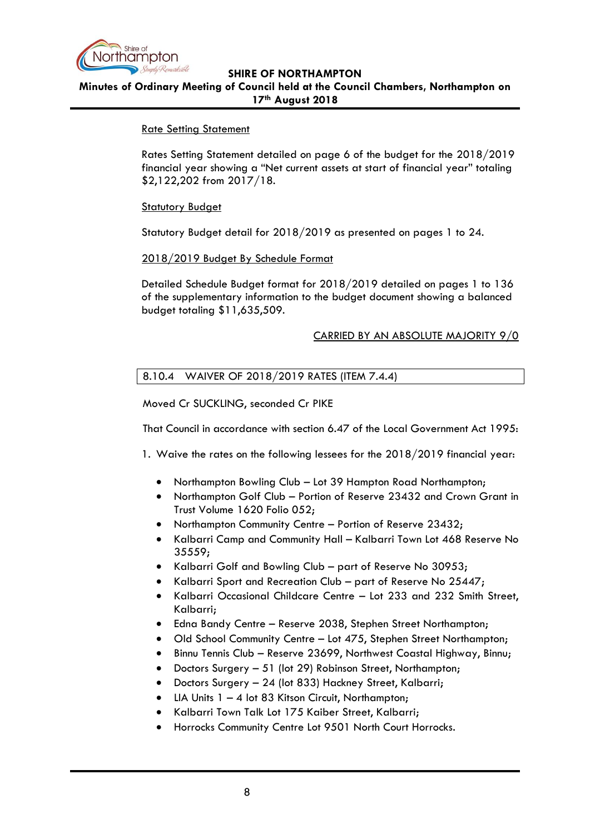

**Minutes of Ordinary Meeting of Council held at the Council Chambers, Northampton on 17th August 2018**

## Rate Setting Statement

Rates Setting Statement detailed on page 6 of the budget for the 2018/2019 financial year showing a "Net current assets at start of financial year" totaling \$2,122,202 from 2017/18.

## **Statutory Budget**

Statutory Budget detail for 2018/2019 as presented on pages 1 to 24.

## 2018/2019 Budget By Schedule Format

Detailed Schedule Budget format for 2018/2019 detailed on pages 1 to 136 of the supplementary information to the budget document showing a balanced budget totaling \$11,635,509.

## CARRIED BY AN ABSOLUTE MAJORITY 9/0

# 8.10.4 WAIVER OF 2018/2019 RATES (ITEM 7.4.4)

Moved Cr SUCKLING, seconded Cr PIKE

That Council in accordance with section 6.47 of the Local Government Act 1995:

1. Waive the rates on the following lessees for the 2018/2019 financial year:

- Northampton Bowling Club Lot 39 Hampton Road Northampton;
- Northampton Golf Club Portion of Reserve 23432 and Crown Grant in Trust Volume 1620 Folio 052;
- Northampton Community Centre Portion of Reserve 23432;
- Kalbarri Camp and Community Hall Kalbarri Town Lot 468 Reserve No 35559;
- Kalbarri Golf and Bowling Club part of Reserve No 30953;
- Kalbarri Sport and Recreation Club part of Reserve No 25447;
- Kalbarri Occasional Childcare Centre Lot 233 and 232 Smith Street, Kalbarri;
- Edna Bandy Centre Reserve 2038, Stephen Street Northampton;
- Old School Community Centre Lot 475, Stephen Street Northampton;
- Binnu Tennis Club Reserve 23699, Northwest Coastal Highway, Binnu;
- Doctors Surgery 51 (lot 29) Robinson Street, Northampton;
- Doctors Surgery 24 (lot 833) Hackney Street, Kalbarri;
- LIA Units  $1 4$  lot 83 Kitson Circuit, Northampton;
- Kalbarri Town Talk Lot 175 Kaiber Street, Kalbarri;
- Horrocks Community Centre Lot 9501 North Court Horrocks.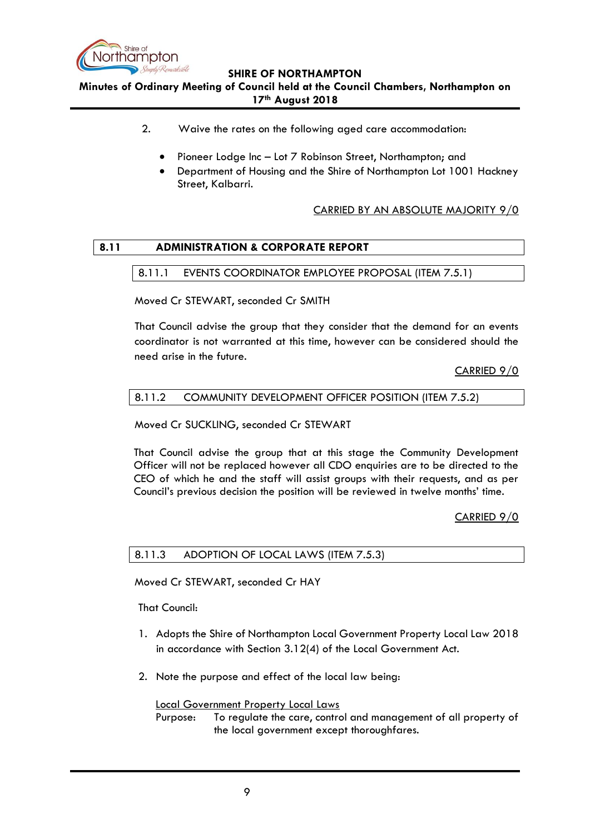

**Minutes of Ordinary Meeting of Council held at the Council Chambers, Northampton on 17th August 2018**

- 2. Waive the rates on the following aged care accommodation:
	- Pioneer Lodge Inc Lot 7 Robinson Street, Northampton; and
	- Department of Housing and the Shire of Northampton Lot 1001 Hackney Street, Kalbarri.

CARRIED BY AN ABSOLUTE MAJORITY 9/0

## <span id="page-8-1"></span><span id="page-8-0"></span>**8.11 ADMINISTRATION & CORPORATE REPORT**

## 8.11.1 EVENTS COORDINATOR EMPLOYEE PROPOSAL (ITEM 7.5.1)

Moved Cr STEWART, seconded Cr SMITH

That Council advise the group that they consider that the demand for an events coordinator is not warranted at this time, however can be considered should the need arise in the future.

CARRIED 9/0

#### <span id="page-8-2"></span>8.11.2 COMMUNITY DEVELOPMENT OFFICER POSITION (ITEM 7.5.2)

Moved Cr SUCKLING, seconded Cr STEWART

That Council advise the group that at this stage the Community Development Officer will not be replaced however all CDO enquiries are to be directed to the CEO of which he and the staff will assist groups with their requests, and as per Council's previous decision the position will be reviewed in twelve months' time.

CARRIED 9/0

## <span id="page-8-3"></span>8.11.3 ADOPTION OF LOCAL LAWS (ITEM 7.5.3)

Moved Cr STEWART, seconded Cr HAY

That Council:

- 1. Adopts the Shire of Northampton Local Government Property Local Law 2018 in accordance with Section 3.12(4) of the Local Government Act.
- 2. Note the purpose and effect of the local law being:

#### Local Government Property Local Laws

Purpose: To regulate the care, control and management of all property of the local government except thoroughfares.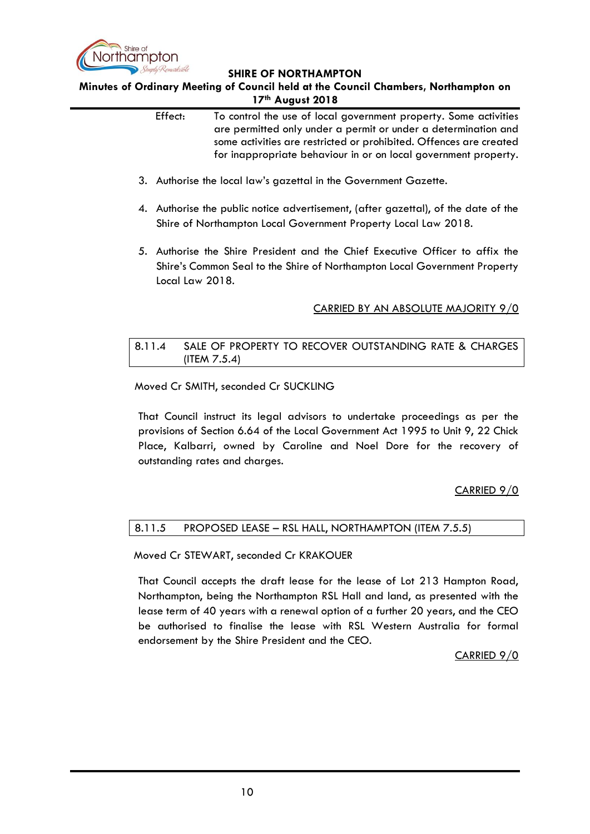

**Minutes of Ordinary Meeting of Council held at the Council Chambers, Northampton on 17th August 2018**

| Effect: | To control the use of local government property. Some activities<br>are permitted only under a permit or under a determination and<br>some activities are restricted or prohibited. Offences are created<br>for inappropriate behaviour in or on local government property.                                                                                                                                                                 |
|---------|---------------------------------------------------------------------------------------------------------------------------------------------------------------------------------------------------------------------------------------------------------------------------------------------------------------------------------------------------------------------------------------------------------------------------------------------|
|         | 3. Authorise the local law's gazettal in the Government Gazette.                                                                                                                                                                                                                                                                                                                                                                            |
|         | 4. Authorise the public notice advertisement, (after gazettal), of the date of the<br>Shire of Northampton Local Government Property Local Law 2018.                                                                                                                                                                                                                                                                                        |
|         | 5. Authorise the Shire President and the Chief Executive Officer to affix the<br>Shire's Common Seal to the Shire of Northampton Local Government Property<br>Local Law 2018.                                                                                                                                                                                                                                                               |
|         | CARRIED BY AN ABSOLUTE MAJORITY 9/0                                                                                                                                                                                                                                                                                                                                                                                                         |
| 8.11.4  | SALE OF PROPERTY TO RECOVER OUTSTANDING RATE & CHARGES<br>(ITEM $7.5.4$ )                                                                                                                                                                                                                                                                                                                                                                   |
|         | Moved Cr SMITH, seconded Cr SUCKLING                                                                                                                                                                                                                                                                                                                                                                                                        |
|         | That Council instruct its legal advisors to undertake proceedings as per the<br>$\mathcal{L}$ $\mathcal{L}$ $\mathcal{L}$ $\mathcal{L}$ $\mathcal{L}$ $\mathcal{L}$ $\mathcal{L}$ $\mathcal{L}$ $\mathcal{L}$ $\mathcal{L}$ $\mathcal{L}$ $\mathcal{L}$ $\mathcal{L}$ $\mathcal{L}$ $\mathcal{L}$ $\mathcal{L}$ $\mathcal{L}$ $\mathcal{L}$ $\mathcal{L}$ $\mathcal{L}$ $\mathcal{L}$ $\mathcal{L}$ $\mathcal{L}$ $\mathcal{L}$ $\mathcal{$ |

<span id="page-9-0"></span>provisions of Section 6.64 of the Local Government Act 1995 to Unit 9, 22 Chick Place, Kalbarri, owned by Caroline and Noel Dore for the recovery of outstanding rates and charges.

# CARRIED 9/0

# <span id="page-9-1"></span>8.11.5 PROPOSED LEASE – RSL HALL, NORTHAMPTON (ITEM 7.5.5)

Moved Cr STEWART, seconded Cr KRAKOUER

That Council accepts the draft lease for the lease of Lot 213 Hampton Road, Northampton, being the Northampton RSL Hall and land, as presented with the lease term of 40 years with a renewal option of a further 20 years, and the CEO be authorised to finalise the lease with RSL Western Australia for formal endorsement by the Shire President and the CEO.

CARRIED 9/0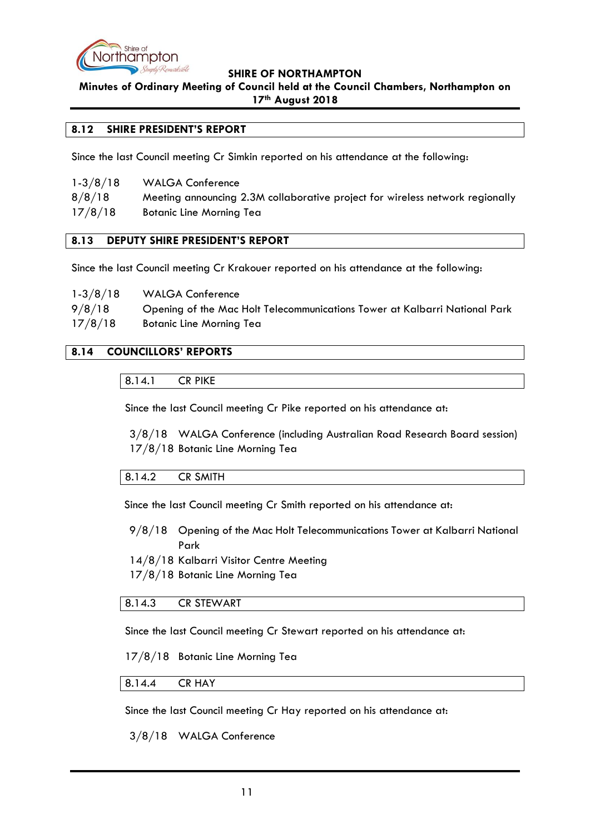

**Minutes of Ordinary Meeting of Council held at the Council Chambers, Northampton on 17th August 2018**

## <span id="page-10-0"></span>**8.12 SHIRE PRESIDENT'S REPORT**

Since the last Council meeting Cr Simkin reported on his attendance at the following:

| $1-3/8/18$ | <b>WALGA Conference</b>                                                       |
|------------|-------------------------------------------------------------------------------|
| 8/8/18     | Meeting announcing 2.3M collaborative project for wireless network regionally |
| 17/8/18    | <b>Botanic Line Morning Tea</b>                                               |

## <span id="page-10-1"></span>**8.13 DEPUTY SHIRE PRESIDENT'S REPORT**

Since the last Council meeting Cr Krakouer reported on his attendance at the following:

| $1-3/8/18$ | <b>WALGA Conference</b>                                                    |
|------------|----------------------------------------------------------------------------|
| 9/8/18     | Opening of the Mac Holt Telecommunications Tower at Kalbarri National Park |
| 17/8/18    | Botanic Line Morning Tea                                                   |

## <span id="page-10-3"></span><span id="page-10-2"></span>**8.14 COUNCILLORS' REPORTS**

8.14.1 CR PIKE

Since the last Council meeting Cr Pike reported on his attendance at:

3/8/18 WALGA Conference (including Australian Road Research Board session) 17/8/18 Botanic Line Morning Tea

#### <span id="page-10-4"></span>8.14.2 CR SMITH

Since the last Council meeting Cr Smith reported on his attendance at:

9/8/18 Opening of the Mac Holt Telecommunications Tower at Kalbarri National Park

14/8/18 Kalbarri Visitor Centre Meeting

17/8/18 Botanic Line Morning Tea

# <span id="page-10-5"></span>8.14.3 CR STEWART

Since the last Council meeting Cr Stewart reported on his attendance at:

17/8/18 Botanic Line Morning Tea

# <span id="page-10-6"></span>8.14.4 CR HAY

Since the last Council meeting Cr Hay reported on his attendance at:

3/8/18 WALGA Conference